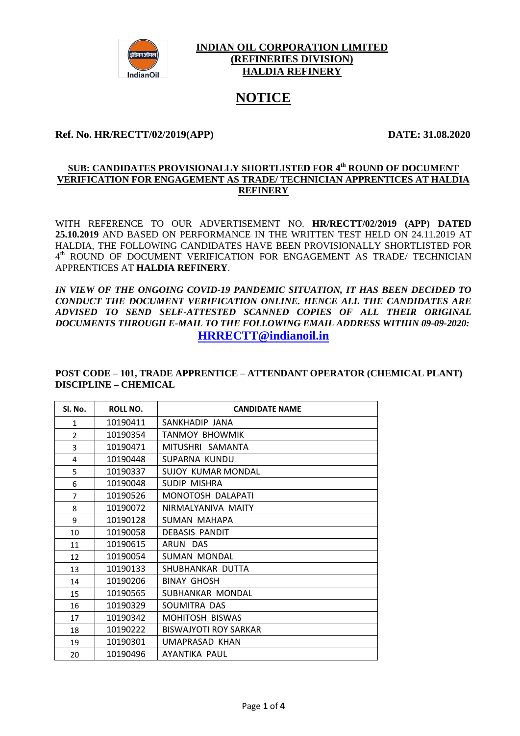

### **INDIAN OIL CORPORATION LIMITED (REFINERIES DIVISION) HALDIA REFINERY**

# **NOTICE**

### **Ref. No. HR/RECTT/02/2019(APP) DATE: 31.08.2020**

#### **SUB: CANDIDATES PROVISIONALLY SHORTLISTED FOR 4 th ROUND OF DOCUMENT VERIFICATION FOR ENGAGEMENT AS TRADE/ TECHNICIAN APPRENTICES AT HALDIA REFINERY**

WITH REFERENCE TO OUR ADVERTISEMENT NO. **HR/RECTT/02/2019 (APP) DATED 25.10.2019** AND BASED ON PERFORMANCE IN THE WRITTEN TEST HELD ON 24.11.2019 AT HALDIA, THE FOLLOWING CANDIDATES HAVE BEEN PROVISIONALLY SHORTLISTED FOR  $4<sup>th</sup>$  ROUND OF DOCUMENT VERIFICATION FOR ENGAGEMENT AS TRADE/ TECHNICIAN APPRENTICES AT **HALDIA REFINERY**.

*IN VIEW OF THE ONGOING COVID-19 PANDEMIC SITUATION, IT HAS BEEN DECIDED TO CONDUCT THE DOCUMENT VERIFICATION ONLINE. HENCE ALL THE CANDIDATES ARE ADVISED TO SEND SELF-ATTESTED SCANNED COPIES OF ALL THEIR ORIGINAL DOCUMENTS THROUGH E-MAIL TO THE FOLLOWING EMAIL ADDRESS WITHIN 09-09-2020:* **[HRRECTT@indianoil.in](mailto:HRRECTT@INDIANOIL.IN)**

**POST CODE – 101, TRADE APPRENTICE – ATTENDANT OPERATOR (CHEMICAL PLANT) DISCIPLINE – CHEMICAL**

| Sl. No.        | ROLL NO. | <b>CANDIDATE NAME</b>        |
|----------------|----------|------------------------------|
| $\mathbf{1}$   | 10190411 | SANKHADIP JANA               |
| 2              | 10190354 | <b>TANMOY BHOWMIK</b>        |
| 3              | 10190471 | MITUSHRI SAMANTA             |
| 4              | 10190448 | SUPARNA KUNDU                |
| 5              | 10190337 | <b>SUJOY KUMAR MONDAL</b>    |
| 6              | 10190048 | SUDIP MISHRA                 |
| $\overline{7}$ | 10190526 | MONOTOSH DALAPATI            |
| 8              | 10190072 | NIRMALYANIVA MAITY           |
| 9              | 10190128 | SUMAN MAHAPA                 |
| 10             | 10190058 | <b>DEBASIS PANDIT</b>        |
| 11             | 10190615 | ARUN DAS                     |
| 12             | 10190054 | <b>SUMAN MONDAL</b>          |
| 13             | 10190133 | SHUBHANKAR DUTTA             |
| 14             | 10190206 | <b>BINAY GHOSH</b>           |
| 15             | 10190565 | SUBHANKAR MONDAL             |
| 16             | 10190329 | SOUMITRA DAS                 |
| 17             | 10190342 | <b>MOHITOSH BISWAS</b>       |
| 18             | 10190222 | <b>BISWAJYOTI ROY SARKAR</b> |
| 19             | 10190301 | UMAPRASAD KHAN               |
| 20             | 10190496 | AYANTIKA PAUL                |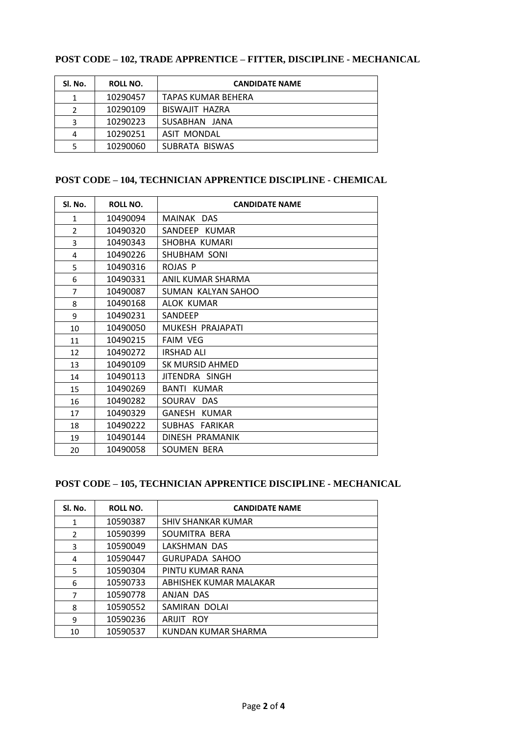# **POST CODE – 102, TRADE APPRENTICE – FITTER, DISCIPLINE - MECHANICAL**

| Sl. No. | ROLL NO. | <b>CANDIDATE NAME</b> |
|---------|----------|-----------------------|
| 1       | 10290457 | TAPAS KUMAR BEHERA    |
| 2       | 10290109 | BISWAJIT HAZRA        |
| 3       | 10290223 | SUSABHAN JANA         |
| 4       | 10290251 | ASIT MONDAL           |
| 5       | 10290060 | SUBRATA BISWAS        |

## **POST CODE – 104, TECHNICIAN APPRENTICE DISCIPLINE - CHEMICAL**

| Sl. No.        | <b>ROLL NO.</b> | <b>CANDIDATE NAME</b> |
|----------------|-----------------|-----------------------|
| $\mathbf{1}$   | 10490094        | MAINAK DAS            |
| $\overline{2}$ | 10490320        | SANDEEP KUMAR         |
| 3              | 10490343        | SHOBHA KUMARI         |
| 4              | 10490226        | SHUBHAM SONI          |
| 5              | 10490316        | ROJAS P               |
| 6              | 10490331        | ANIL KUMAR SHARMA     |
| $\overline{7}$ | 10490087        | SUMAN KALYAN SAHOO    |
| 8              | 10490168        | ALOK KUMAR            |
| 9              | 10490231        | <b>SANDEEP</b>        |
| 10             | 10490050        | MUKESH PRAJAPATI      |
| 11             | 10490215        | <b>FAIM VEG</b>       |
| 12             | 10490272        | <b>IRSHAD ALI</b>     |
| 13             | 10490109        | SK MURSID AHMED       |
| 14             | 10490113        | JITENDRA SINGH        |
| 15             | 10490269        | BANTI KUMAR           |
| 16             | 10490282        | SOURAV DAS            |
| 17             | 10490329        | GANESH KUMAR          |
| 18             | 10490222        | SUBHAS FARIKAR        |
| 19             | 10490144        | DINESH PRAMANIK       |
| 20             | 10490058        | SOUMEN BERA           |

## **POST CODE – 105, TECHNICIAN APPRENTICE DISCIPLINE - MECHANICAL**

| SI. No. | <b>ROLL NO.</b> | <b>CANDIDATE NAME</b>     |
|---------|-----------------|---------------------------|
| 1       | 10590387        | <b>SHIV SHANKAR KUMAR</b> |
| 2       | 10590399        | SOUMITRA BERA             |
| 3       | 10590049        | LAKSHMAN DAS              |
| 4       | 10590447        | GURUPADA SAHOO            |
| 5       | 10590304        | PINTU KUMAR RANA          |
| 6       | 10590733        | ABHISHEK KUMAR MALAKAR    |
| 7       | 10590778        | ANJAN DAS                 |
| 8       | 10590552        | SAMIRAN DOLAI             |
| 9       | 10590236        | ARLIIT ROY                |
| 10      | 10590537        | KUNDAN KUMAR SHARMA       |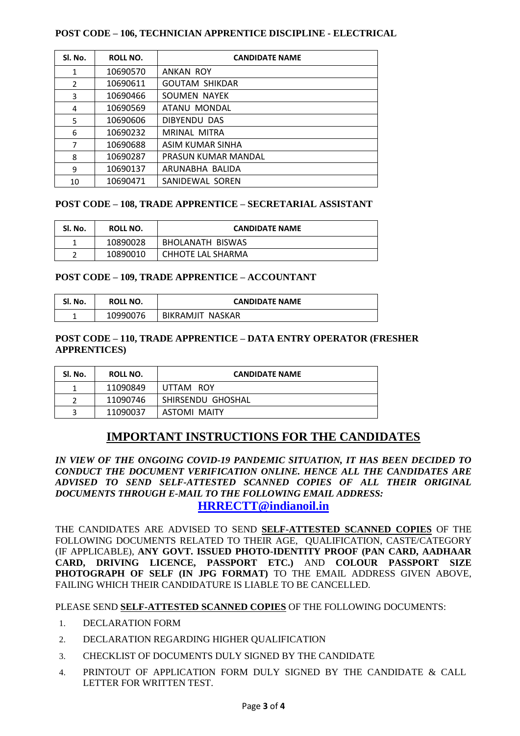#### **POST CODE – 106, TECHNICIAN APPRENTICE DISCIPLINE - ELECTRICAL**

| SI. No.        | ROLL NO. | <b>CANDIDATE NAME</b> |
|----------------|----------|-----------------------|
| $\mathbf{1}$   | 10690570 | <b>ANKAN ROY</b>      |
| $\overline{2}$ | 10690611 | <b>GOUTAM SHIKDAR</b> |
| 3              | 10690466 | SOUMEN NAYEK          |
| 4              | 10690569 | ATANU MONDAL          |
| 5              | 10690606 | DIBYENDU DAS          |
| 6              | 10690232 | MRINAL MITRA          |
| 7              | 10690688 | ASIM KUMAR SINHA      |
| 8              | 10690287 | PRASUN KUMAR MANDAL   |
| 9              | 10690137 | ARUNABHA BALIDA       |
| 10             | 10690471 | SANIDEWAL SOREN       |

#### **POST CODE – 108, TRADE APPRENTICE – SECRETARIAL ASSISTANT**

| Sl. No. | ROLL NO. | <b>CANDIDATE NAME</b> |
|---------|----------|-----------------------|
|         | 10890028 | BHOLANATH BISWAS      |
| ∽       | 10890010 | CHHOTE LAL SHARMA     |

#### **POST CODE – 109, TRADE APPRENTICE – ACCOUNTANT**

| Sl. No. | ROLL NO. | <b>CANDIDATE NAME</b> |
|---------|----------|-----------------------|
|         | 10990076 | BIKRAMJIT NASKAR      |

#### **POST CODE – 110, TRADE APPRENTICE – DATA ENTRY OPERATOR (FRESHER APPRENTICES)**

| SI. No. | ROLL NO. | <b>CANDIDATE NAME</b> |
|---------|----------|-----------------------|
|         | 11090849 | UTTAM ROY             |
|         | 11090746 | SHIRSENDU GHOSHAL     |
| ર       | 11090037 | ASTOMI MAITY          |

# **IMPORTANT INSTRUCTIONS FOR THE CANDIDATES**

*IN VIEW OF THE ONGOING COVID-19 PANDEMIC SITUATION, IT HAS BEEN DECIDED TO CONDUCT THE DOCUMENT VERIFICATION ONLINE. HENCE ALL THE CANDIDATES ARE ADVISED TO SEND SELF-ATTESTED SCANNED COPIES OF ALL THEIR ORIGINAL DOCUMENTS THROUGH E-MAIL TO THE FOLLOWING EMAIL ADDRESS:* **[HRRECTT@indianoil.in](mailto:HRRECTT@INDIANOIL.IN)**

THE CANDIDATES ARE ADVISED TO SEND **SELF-ATTESTED SCANNED COPIES** OF THE FOLLOWING DOCUMENTS RELATED TO THEIR AGE, QUALIFICATION, CASTE/CATEGORY (IF APPLICABLE), **ANY GOVT. ISSUED PHOTO-IDENTITY PROOF (PAN CARD, AADHAAR CARD, DRIVING LICENCE, PASSPORT ETC.)** AND **COLOUR PASSPORT SIZE PHOTOGRAPH OF SELF (IN JPG FORMAT)** TO THE EMAIL ADDRESS GIVEN ABOVE, FAILING WHICH THEIR CANDIDATURE IS LIABLE TO BE CANCELLED.

PLEASE SEND **SELF-ATTESTED SCANNED COPIES** OF THE FOLLOWING DOCUMENTS:

- 1. DECLARATION FORM
- 2. DECLARATION REGARDING HIGHER QUALIFICATION
- 3. CHECKLIST OF DOCUMENTS DULY SIGNED BY THE CANDIDATE
- 4. PRINTOUT OF APPLICATION FORM DULY SIGNED BY THE CANDIDATE & CALL LETTER FOR WRITTEN TEST.